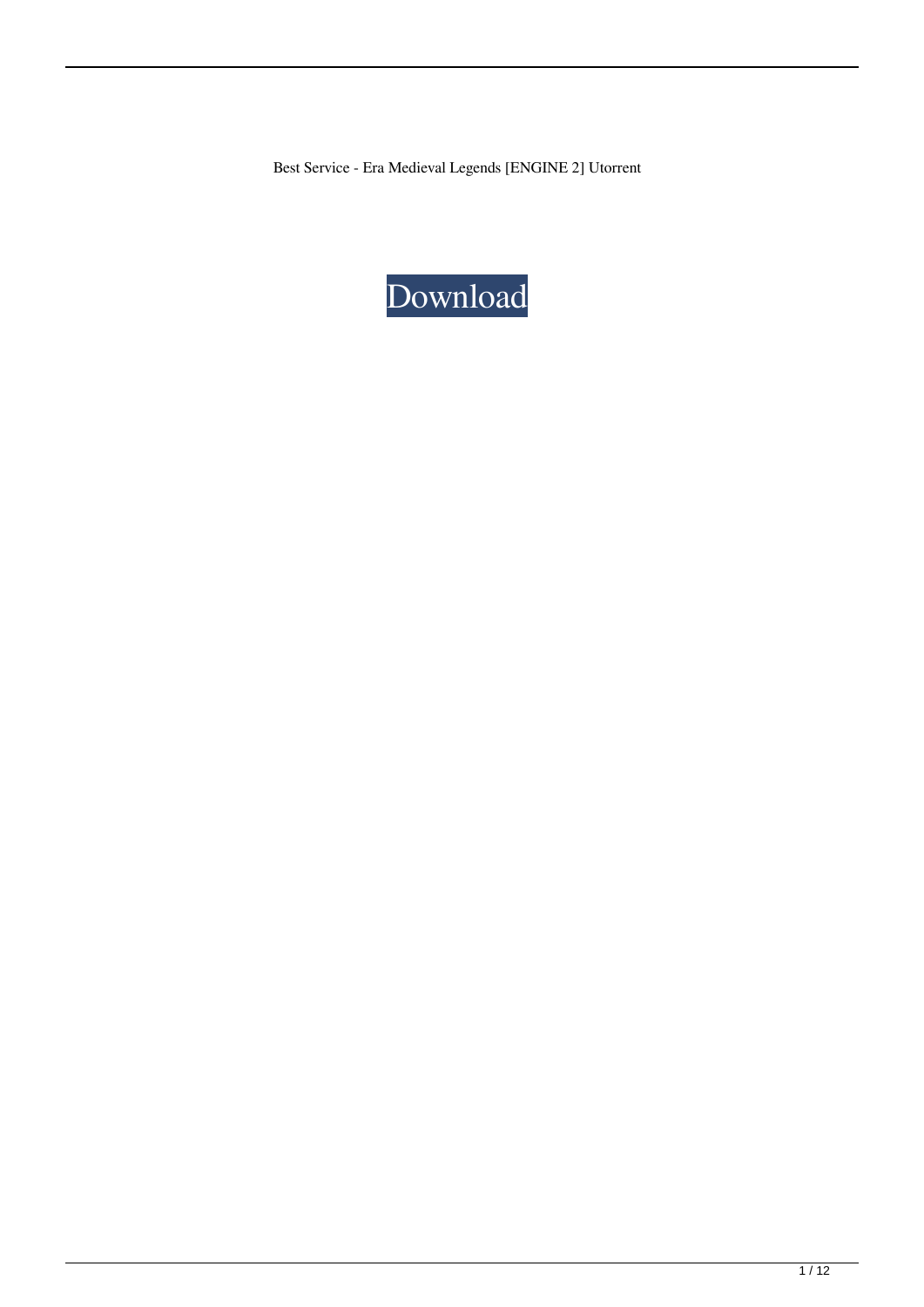Best Service - Era Medieval Legends [ENGINE 2] Utorrent

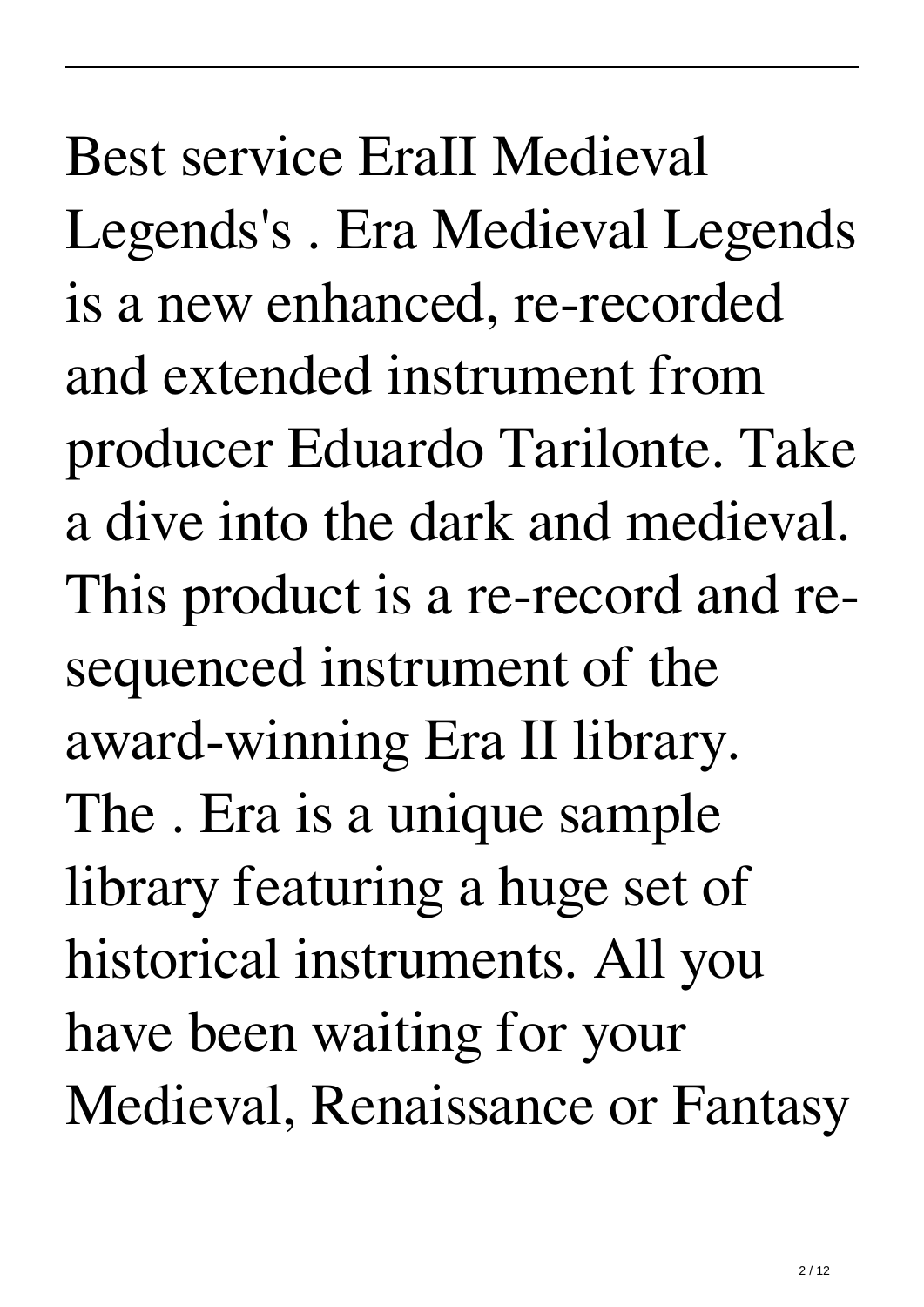Best service EraII Medieval Legends's . Era Medieval Legends is a new enhanced, re-recorded and extended instrument from producer Eduardo Tarilonte. Take a dive into the dark and medieval. This product is a re-record and resequenced instrument of the award-winning Era II library. The . Era is a unique sample library featuring a huge set of historical instruments. All you have been waiting for your Medieval, Renaissance or Fantasy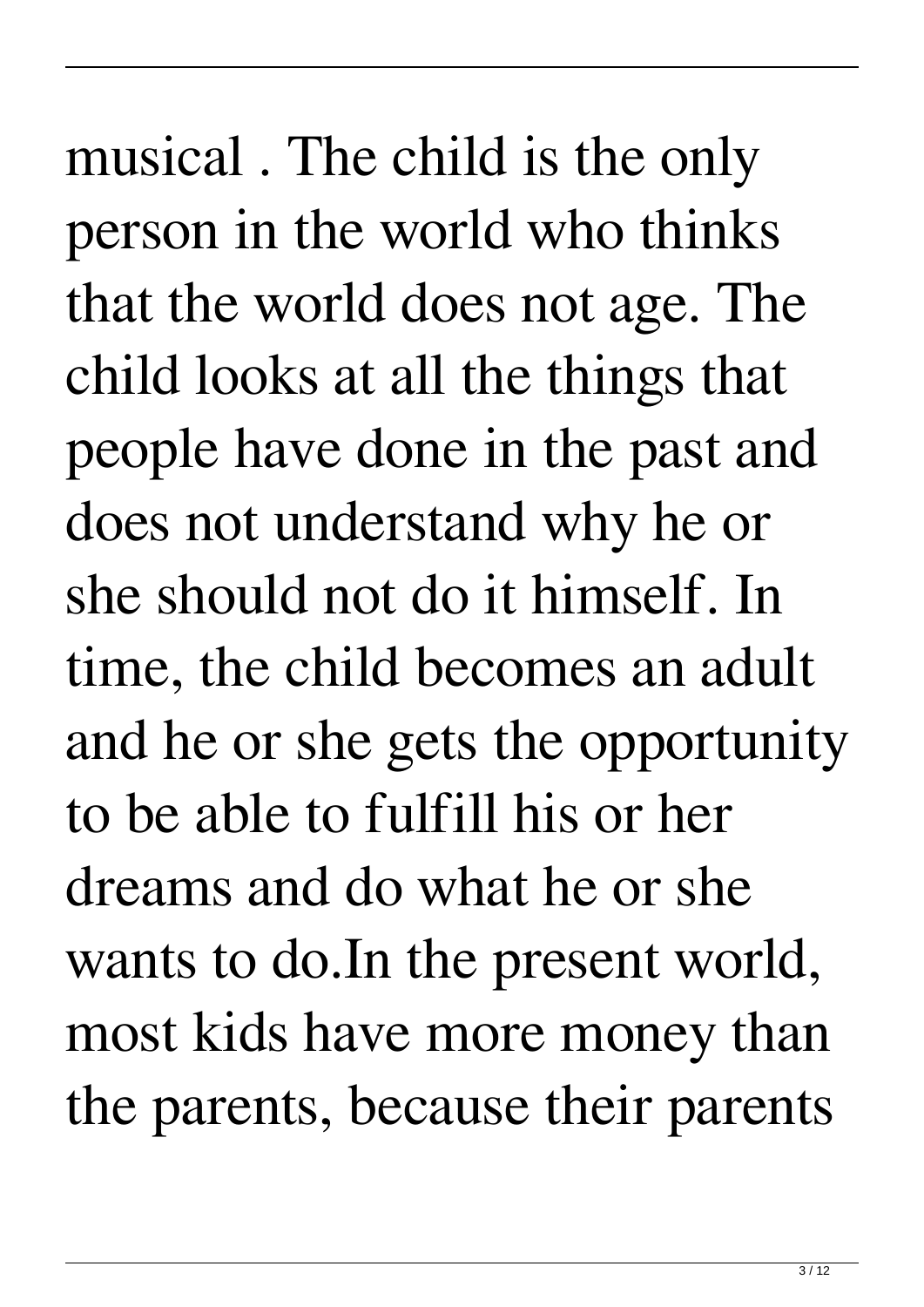musical . The child is the only person in the world who thinks that the world does not age. The child looks at all the things that people have done in the past and does not understand why he or she should not do it himself. In time, the child becomes an adult and he or she gets the opportunity to be able to fulfill his or her dreams and do what he or she wants to do.In the present world, most kids have more money than the parents, because their parents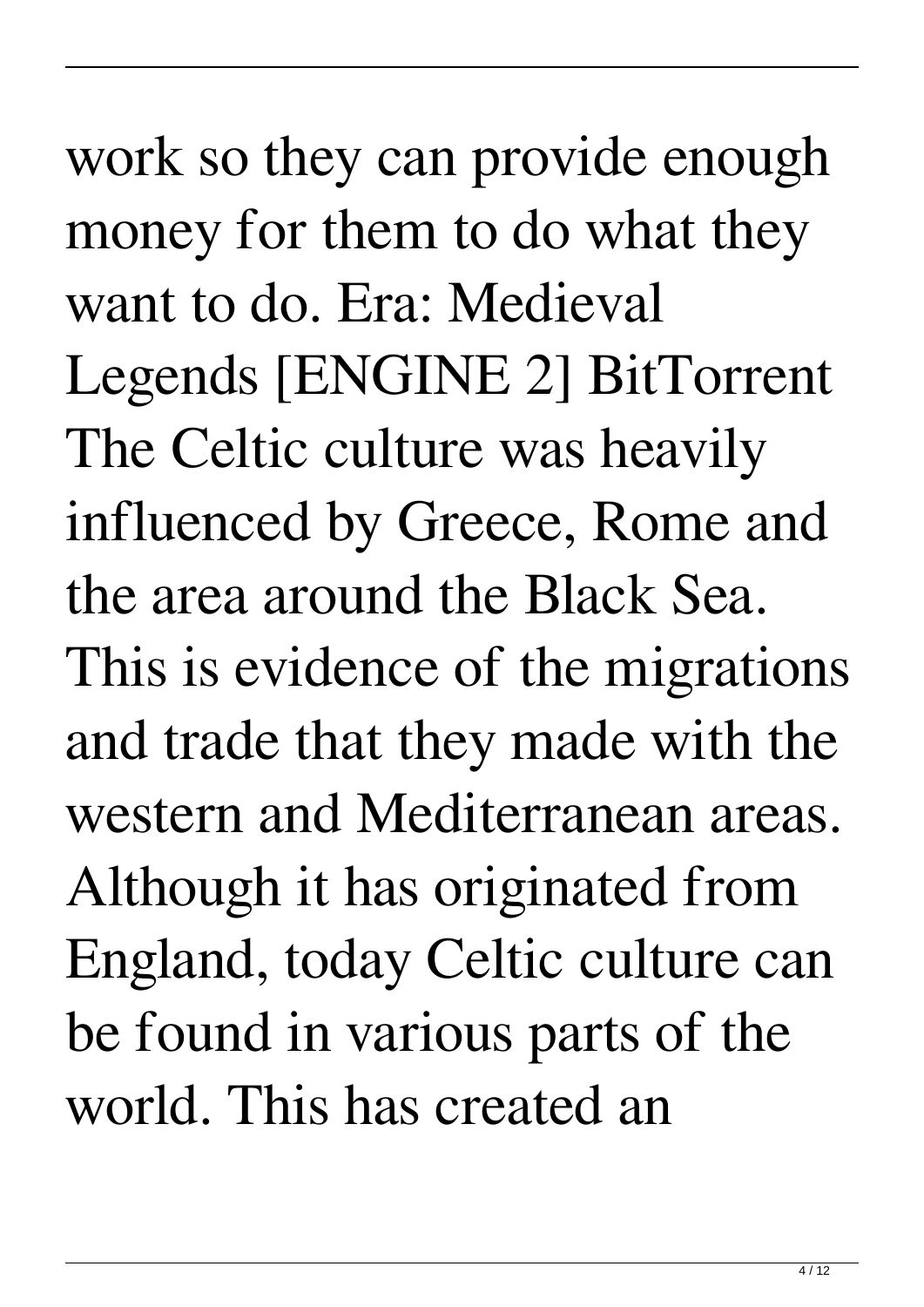work so they can provide enough money for them to do what they want to do. Era: Medieval Legends [ENGINE 2] BitTorrent The Celtic culture was heavily influenced by Greece, Rome and the area around the Black Sea. This is evidence of the migrations and trade that they made with the western and Mediterranean areas. Although it has originated from England, today Celtic culture can be found in various parts of the world. This has created an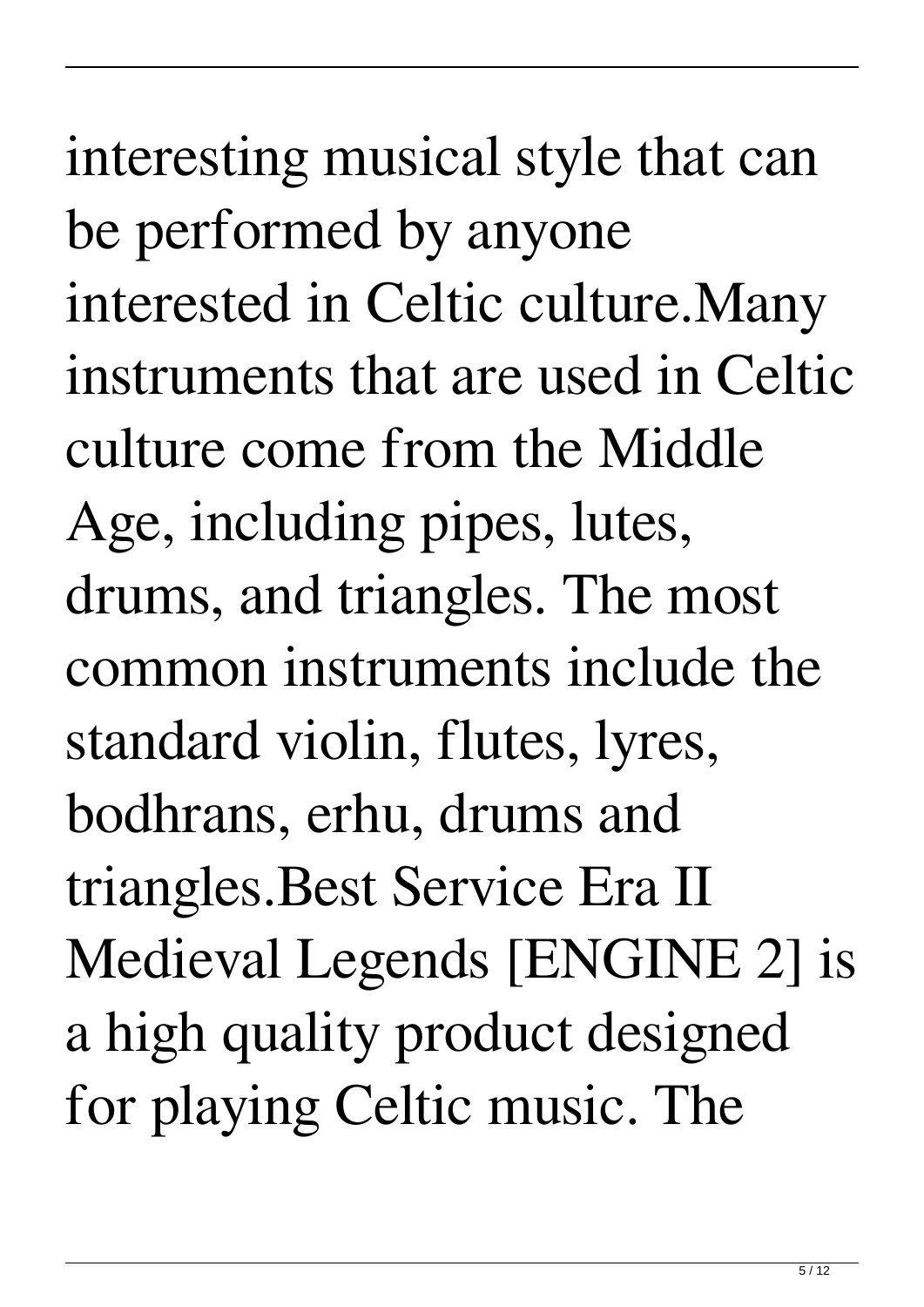culture come from the Middle Age, including pipes, lutes, drums, and triangles. The most common instruments include the standard violin, flutes, lyres, bodhrans, erhu, drums and triangles.Best Service Era II Medieval Legends [ENGINE 2] is a high quality product designed for playing Celtic music. The

interesting musical style that can

interested in Celtic culture.Many

instruments that are used in Celtic

be performed by anyone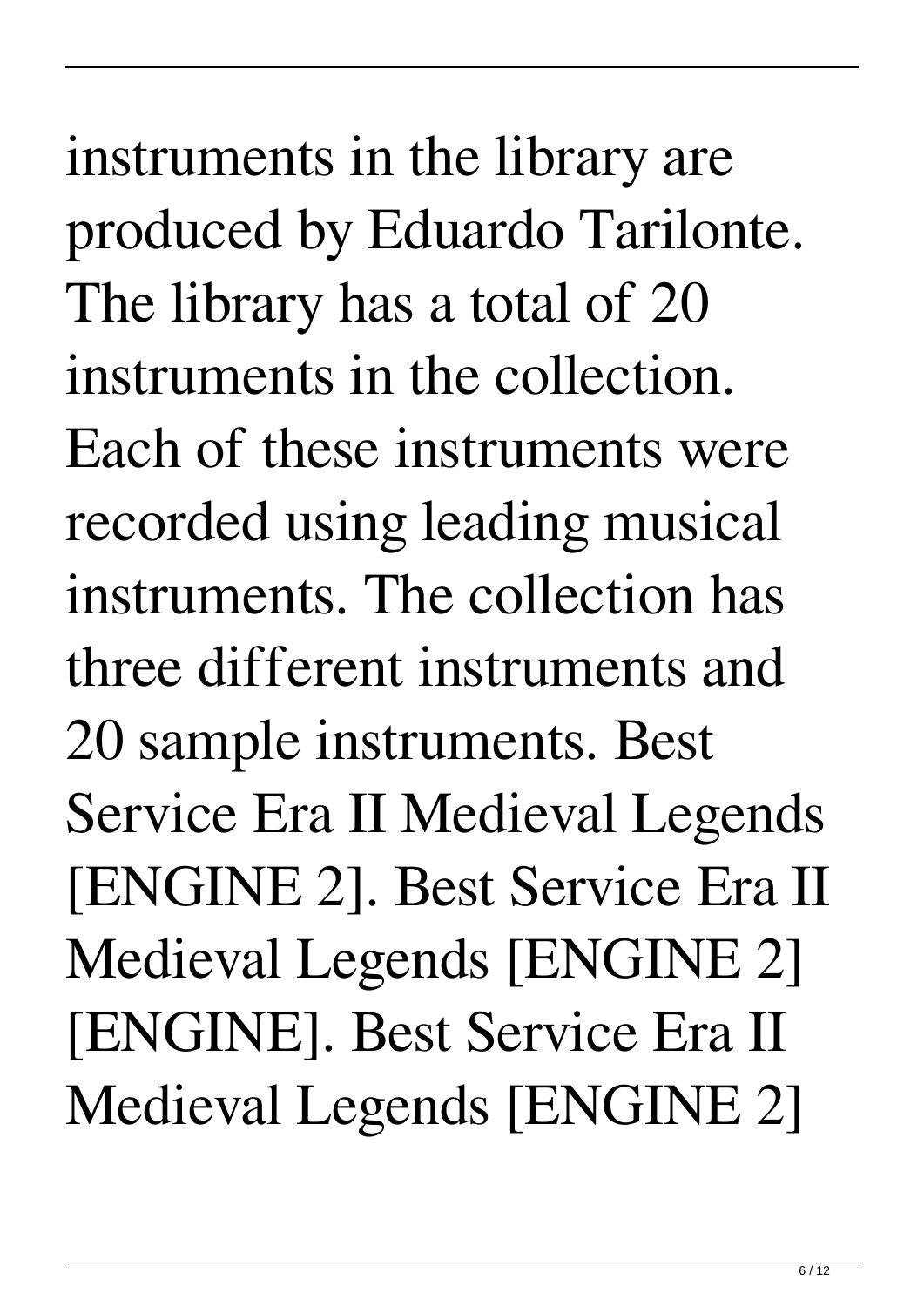instruments in the library are produced by Eduardo Tarilonte. The library has a total of 20 instruments in the collection. Each of these instruments were recorded using leading musical instruments. The collection has three different instruments and 20 sample instruments. Best Service Era II Medieval Legends [ENGINE 2]. Best Service Era II Medieval Legends [ENGINE 2] [ENGINE]. Best Service Era II Medieval Legends [ENGINE 2]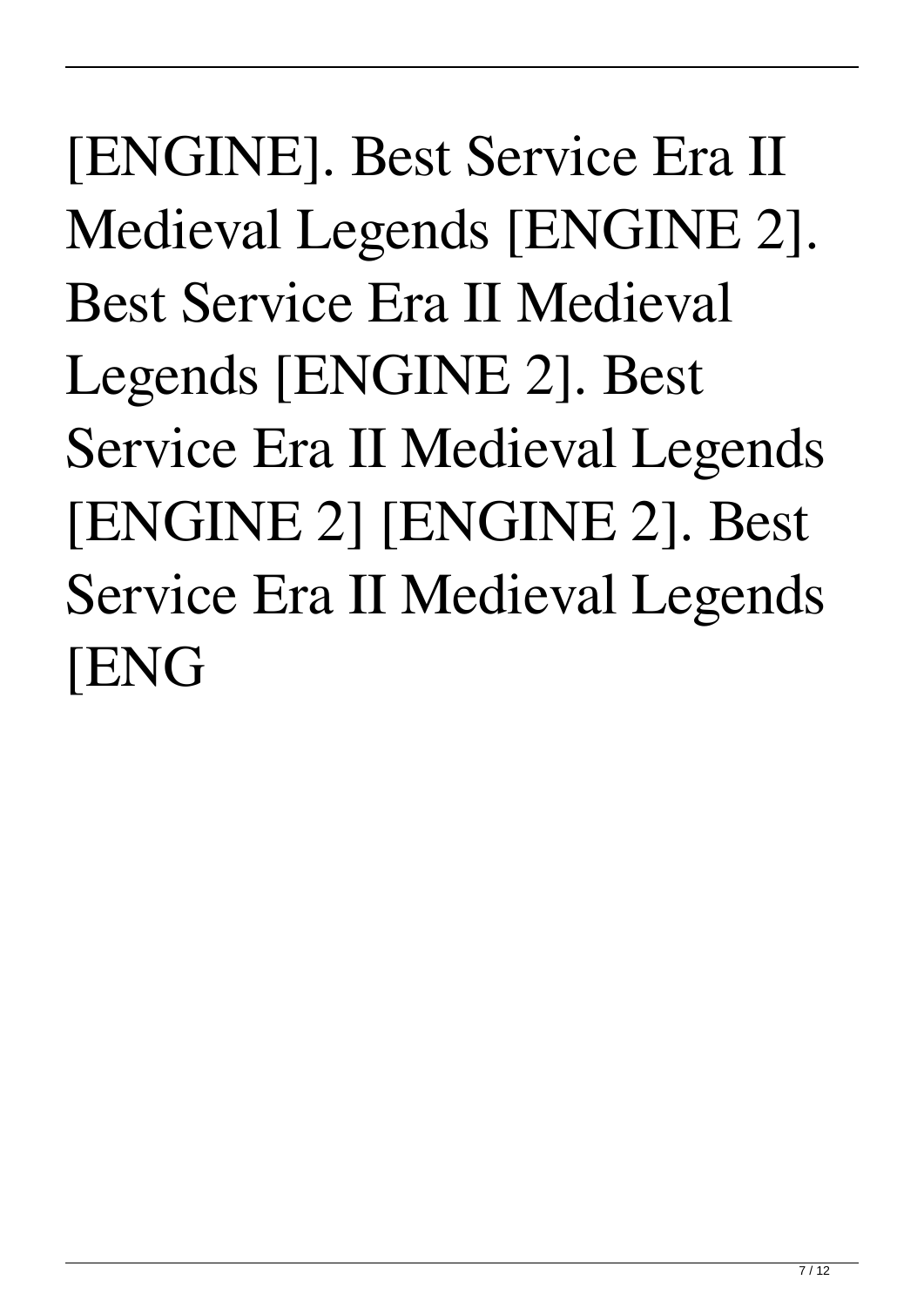[ENGINE]. Best Service Era II Medieval Legends [ENGINE 2]. Best Service Era II Medieval Legends [ENGINE 2]. Best Service Era II Medieval Legends [ENGINE 2] [ENGINE 2]. Best Service Era II Medieval Legends [ENG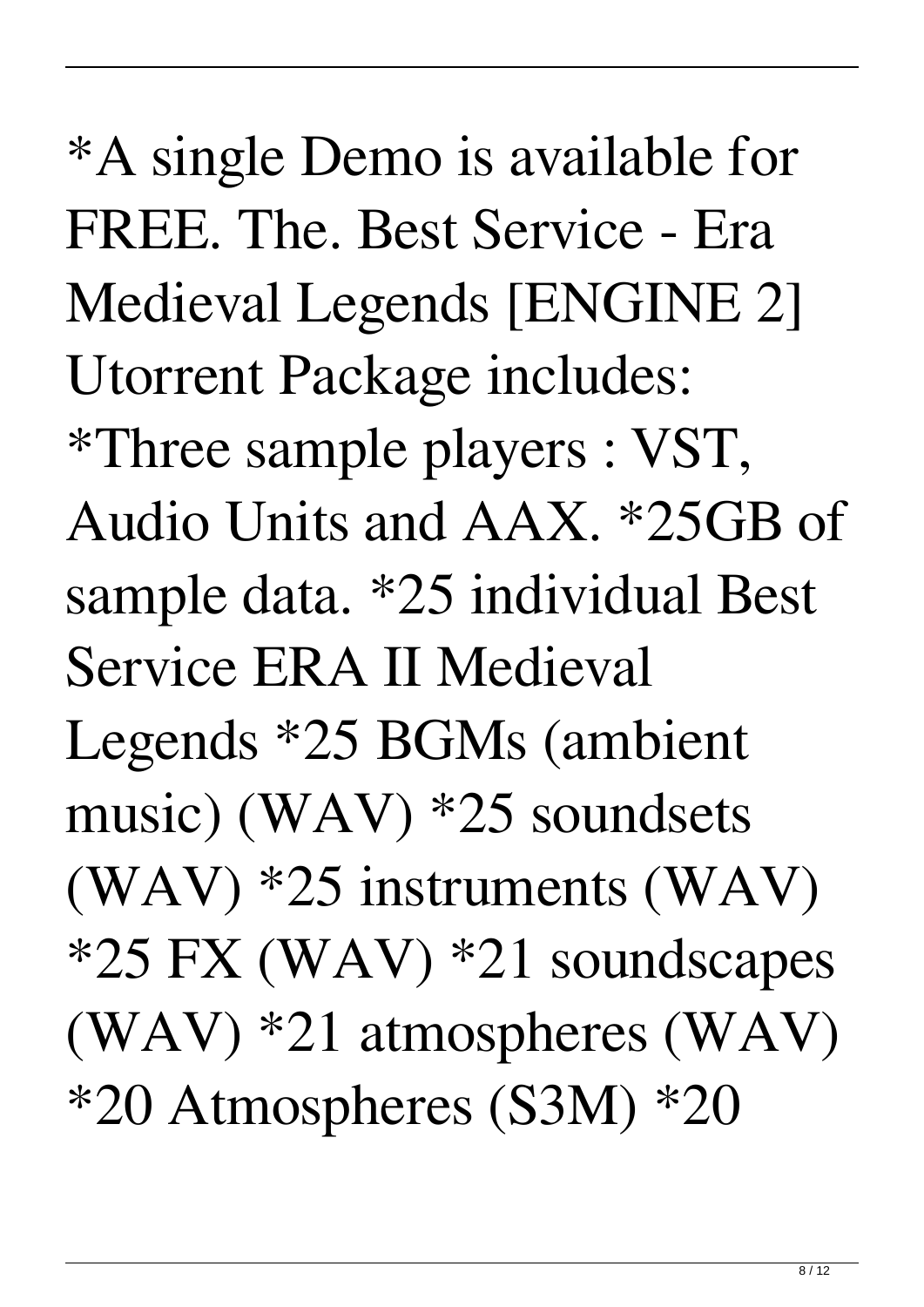\*A single Demo is available for FREE. The. Best Service - Era Medieval Legends [ENGINE 2] Utorrent Package includes: \*Three sample players : VST, Audio Units and AAX. \*25GB of sample data. \*25 individual Best Service ERA II Medieval Legends \*25 BGMs (ambient music) (WAV) \*25 soundsets (WAV) \*25 instruments (WAV) \*25 FX (WAV) \*21 soundscapes (WAV) \*21 atmospheres (WAV) \*20 Atmospheres (S3M) \*20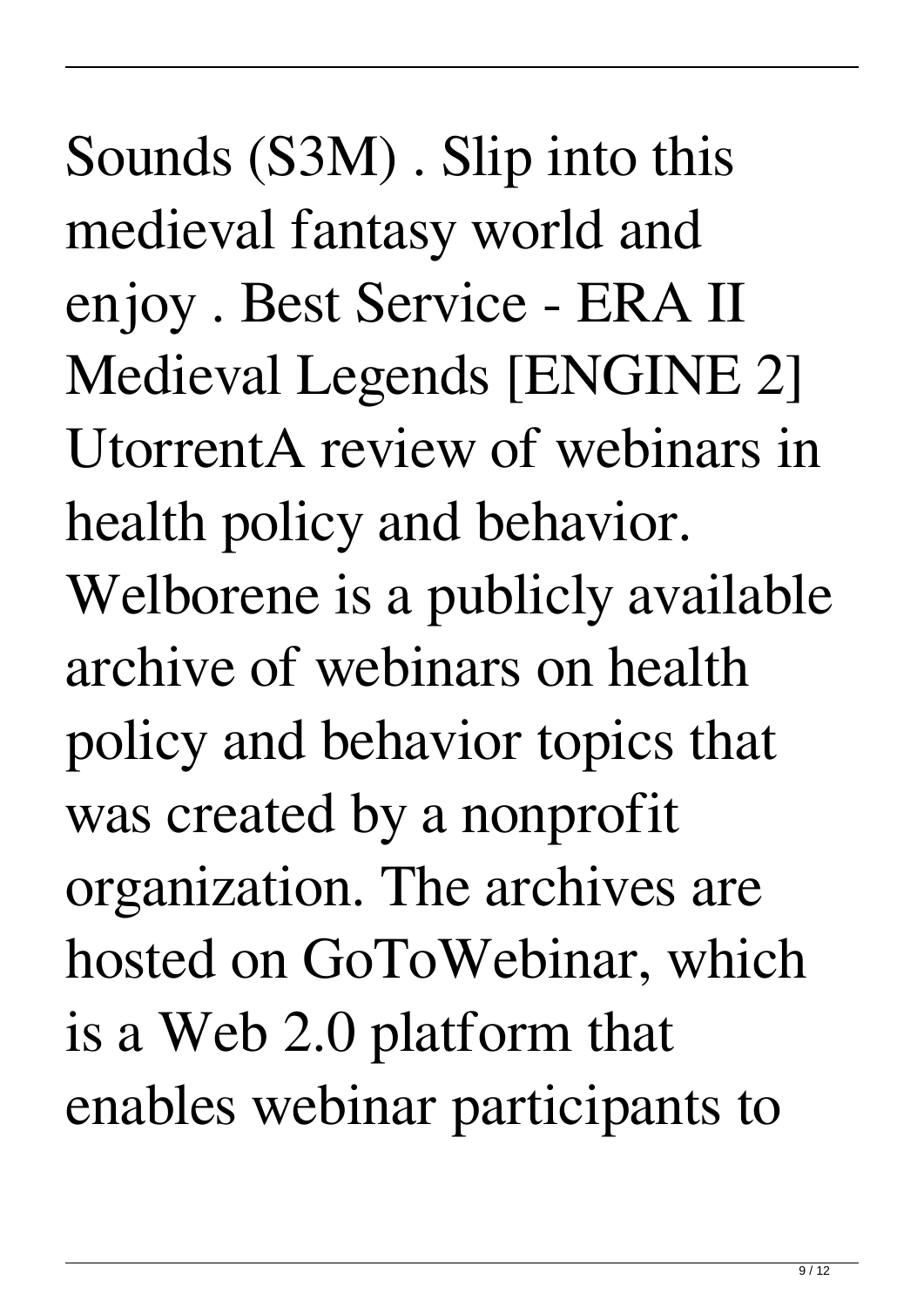Sounds (S3M) . Slip into this medieval fantasy world and enjoy . Best Service - ERA II Medieval Legends [ENGINE 2] UtorrentA review of webinars in health policy and behavior. Welborene is a publicly available archive of webinars on health policy and behavior topics that was created by a nonprofit organization. The archives are hosted on GoToWebinar, which is a Web 2.0 platform that enables webinar participants to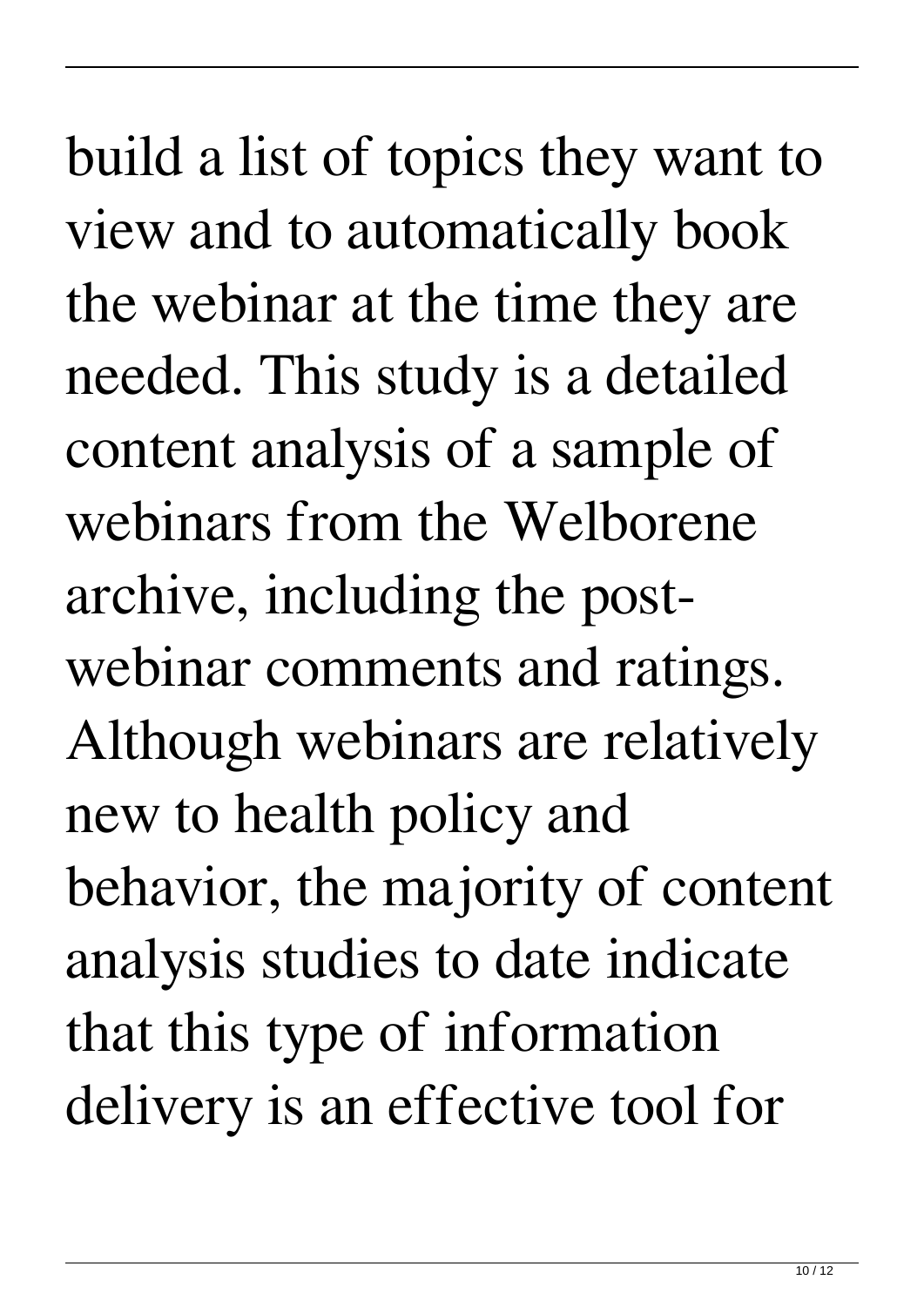build a list of topics they want to view and to automatically book the webinar at the time they are needed. This study is a detailed content analysis of a sample of webinars from the Welborene archive, including the postwebinar comments and ratings. Although webinars are relatively new to health policy and behavior, the majority of content analysis studies to date indicate that this type of information delivery is an effective tool for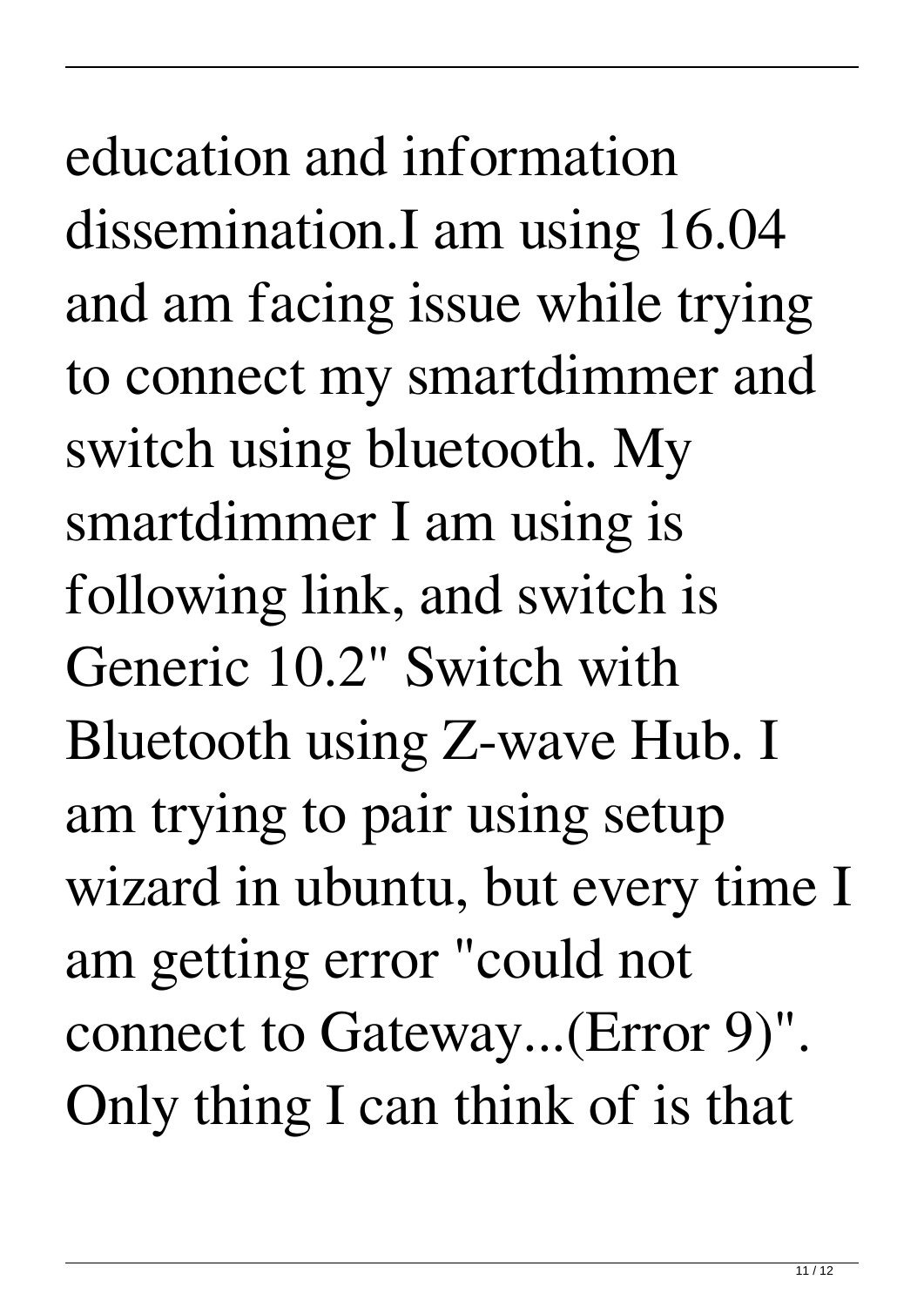education and information dissemination.I am using 16.04 and am facing issue while trying to connect my smartdimmer and switch using bluetooth. My smartdimmer I am using is following link, and switch is Generic 10.2" Switch with Bluetooth using Z-wave Hub. I am trying to pair using setup wizard in ubuntu, but every time I am getting error "could not connect to Gateway...(Error 9)". Only thing I can think of is that